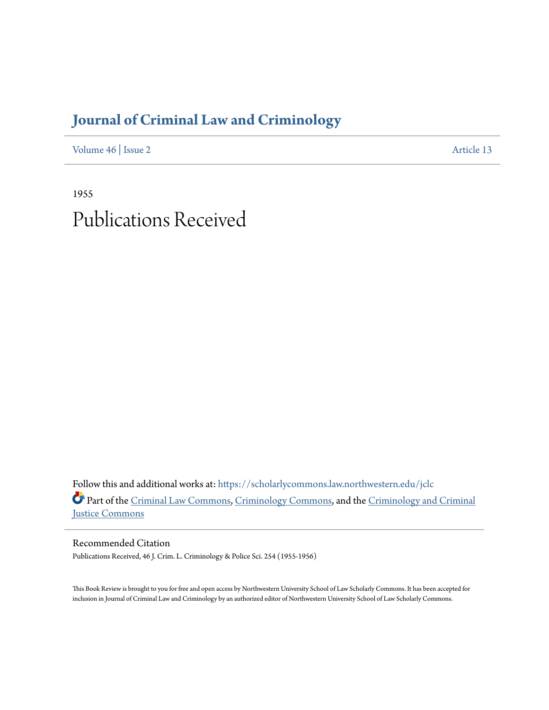## **[Journal of Criminal Law and Criminology](https://scholarlycommons.law.northwestern.edu/jclc?utm_source=scholarlycommons.law.northwestern.edu%2Fjclc%2Fvol46%2Fiss2%2F13&utm_medium=PDF&utm_campaign=PDFCoverPages)**

[Volume 46](https://scholarlycommons.law.northwestern.edu/jclc/vol46?utm_source=scholarlycommons.law.northwestern.edu%2Fjclc%2Fvol46%2Fiss2%2F13&utm_medium=PDF&utm_campaign=PDFCoverPages) | [Issue 2](https://scholarlycommons.law.northwestern.edu/jclc/vol46/iss2?utm_source=scholarlycommons.law.northwestern.edu%2Fjclc%2Fvol46%2Fiss2%2F13&utm_medium=PDF&utm_campaign=PDFCoverPages) [Article 13](https://scholarlycommons.law.northwestern.edu/jclc/vol46/iss2/13?utm_source=scholarlycommons.law.northwestern.edu%2Fjclc%2Fvol46%2Fiss2%2F13&utm_medium=PDF&utm_campaign=PDFCoverPages)

1955 Publications Received

Follow this and additional works at: [https://scholarlycommons.law.northwestern.edu/jclc](https://scholarlycommons.law.northwestern.edu/jclc?utm_source=scholarlycommons.law.northwestern.edu%2Fjclc%2Fvol46%2Fiss2%2F13&utm_medium=PDF&utm_campaign=PDFCoverPages) Part of the [Criminal Law Commons](http://network.bepress.com/hgg/discipline/912?utm_source=scholarlycommons.law.northwestern.edu%2Fjclc%2Fvol46%2Fiss2%2F13&utm_medium=PDF&utm_campaign=PDFCoverPages), [Criminology Commons](http://network.bepress.com/hgg/discipline/417?utm_source=scholarlycommons.law.northwestern.edu%2Fjclc%2Fvol46%2Fiss2%2F13&utm_medium=PDF&utm_campaign=PDFCoverPages), and the [Criminology and Criminal](http://network.bepress.com/hgg/discipline/367?utm_source=scholarlycommons.law.northwestern.edu%2Fjclc%2Fvol46%2Fiss2%2F13&utm_medium=PDF&utm_campaign=PDFCoverPages) [Justice Commons](http://network.bepress.com/hgg/discipline/367?utm_source=scholarlycommons.law.northwestern.edu%2Fjclc%2Fvol46%2Fiss2%2F13&utm_medium=PDF&utm_campaign=PDFCoverPages)

Recommended Citation Publications Received, 46 J. Crim. L. Criminology & Police Sci. 254 (1955-1956)

This Book Review is brought to you for free and open access by Northwestern University School of Law Scholarly Commons. It has been accepted for inclusion in Journal of Criminal Law and Criminology by an authorized editor of Northwestern University School of Law Scholarly Commons.